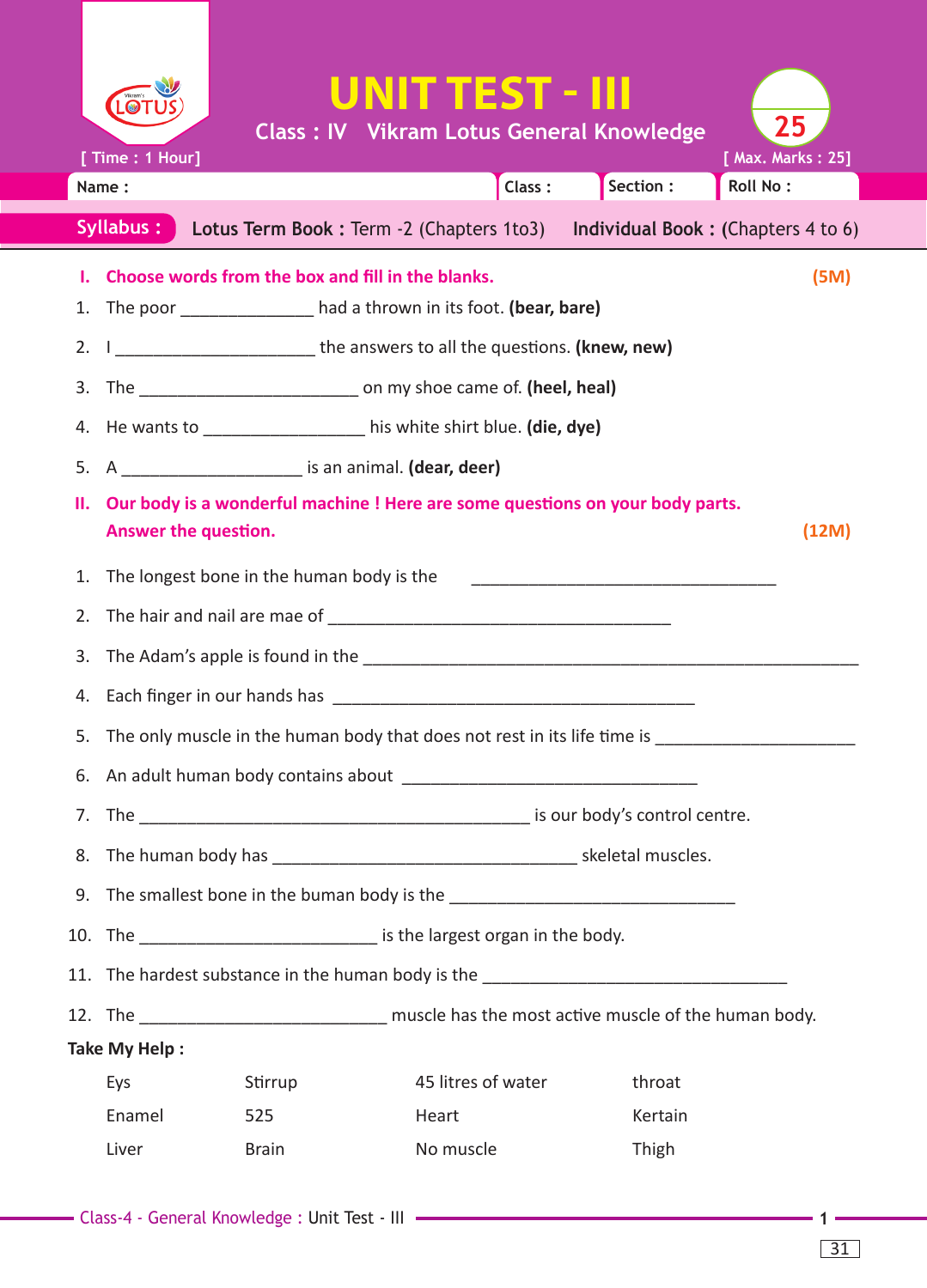|                                                                                            |                                                                                                                                                                      |              | UNIT TEST - III                                      |           |                                      |  |  |
|--------------------------------------------------------------------------------------------|----------------------------------------------------------------------------------------------------------------------------------------------------------------------|--------------|------------------------------------------------------|-----------|--------------------------------------|--|--|
|                                                                                            |                                                                                                                                                                      |              | <b>Class : IV Vikram Lotus General Knowledge</b>     |           | 25                                   |  |  |
|                                                                                            | [ Time: 1 Hour]<br>Name:                                                                                                                                             |              | Class:                                               | Section : | [ Max. Marks: 25]<br><b>Roll No:</b> |  |  |
| Syllabus:<br>Lotus Term Book : Term -2 (Chapters 1to3) Individual Book : (Chapters 4 to 6) |                                                                                                                                                                      |              |                                                      |           |                                      |  |  |
|                                                                                            |                                                                                                                                                                      |              | I. Choose words from the box and fill in the blanks. |           | (5M)                                 |  |  |
|                                                                                            | 1. The poor ________________ had a thrown in its foot. (bear, bare)                                                                                                  |              |                                                      |           |                                      |  |  |
|                                                                                            | 2. I ____________________________ the answers to all the questions. (knew, new)                                                                                      |              |                                                      |           |                                      |  |  |
|                                                                                            | 3. The __________________________________ on my shoe came of. (heel, heal)                                                                                           |              |                                                      |           |                                      |  |  |
|                                                                                            | 4. He wants to ______________________his white shirt blue. (die, dye)                                                                                                |              |                                                      |           |                                      |  |  |
| 5.                                                                                         | A _____________________________ is an animal. (dear, deer)                                                                                                           |              |                                                      |           |                                      |  |  |
|                                                                                            | II. Our body is a wonderful machine ! Here are some questions on your body parts.<br>(12M)<br>Answer the question.                                                   |              |                                                      |           |                                      |  |  |
|                                                                                            | 1. The longest bone in the human body is the<br><u> 2000 - Jan James James Jan James James James James James James James James James James James James James Jam</u> |              |                                                      |           |                                      |  |  |
|                                                                                            |                                                                                                                                                                      |              |                                                      |           |                                      |  |  |
| 3.                                                                                         |                                                                                                                                                                      |              |                                                      |           |                                      |  |  |
| 4.                                                                                         |                                                                                                                                                                      |              |                                                      |           |                                      |  |  |
| 5.                                                                                         | The only muscle in the human body that does not rest in its life time is                                                                                             |              |                                                      |           |                                      |  |  |
|                                                                                            |                                                                                                                                                                      |              |                                                      |           |                                      |  |  |
|                                                                                            |                                                                                                                                                                      |              |                                                      |           |                                      |  |  |
|                                                                                            |                                                                                                                                                                      |              |                                                      |           |                                      |  |  |
|                                                                                            | 9. The smallest bone in the buman body is the __________________________________                                                                                     |              |                                                      |           |                                      |  |  |
|                                                                                            | 10. The _______________________________ is the largest organ in the body.                                                                                            |              |                                                      |           |                                      |  |  |
|                                                                                            | 11. The hardest substance in the human body is the _____________________________                                                                                     |              |                                                      |           |                                      |  |  |
|                                                                                            | 12. The _________________________________ muscle has the most active muscle of the human body.                                                                       |              |                                                      |           |                                      |  |  |
| Take My Help:                                                                              |                                                                                                                                                                      |              |                                                      |           |                                      |  |  |
|                                                                                            | Eys                                                                                                                                                                  | Stirrup      | 45 litres of water                                   | throat    |                                      |  |  |
|                                                                                            | Enamel                                                                                                                                                               | 525          | Heart                                                | Kertain   |                                      |  |  |
|                                                                                            | Liver                                                                                                                                                                | <b>Brain</b> | No muscle                                            | Thigh     |                                      |  |  |